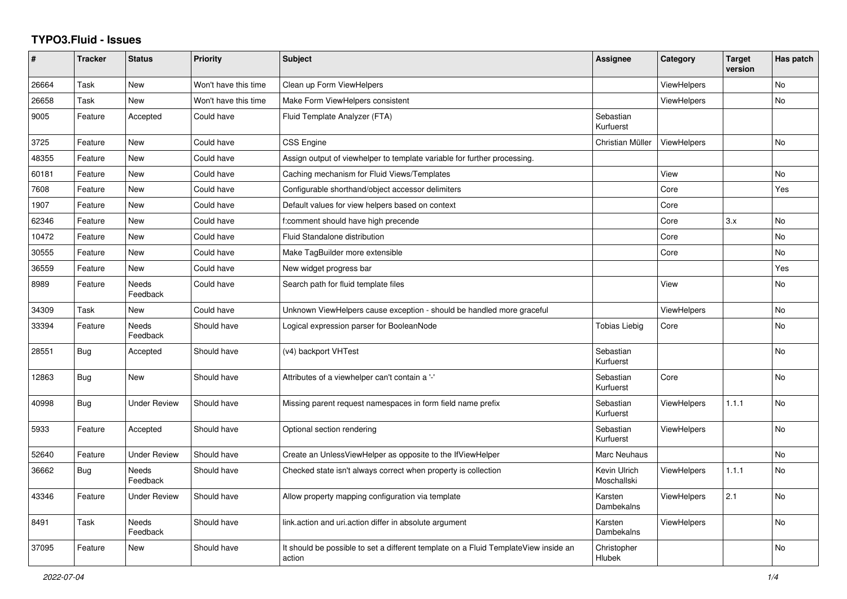## **TYPO3.Fluid - Issues**

| #     | <b>Tracker</b> | <b>Status</b>            | <b>Priority</b>      | <b>Subject</b>                                                                                | Assignee                    | Category           | <b>Target</b><br>version | Has patch |
|-------|----------------|--------------------------|----------------------|-----------------------------------------------------------------------------------------------|-----------------------------|--------------------|--------------------------|-----------|
| 26664 | Task           | New                      | Won't have this time | Clean up Form ViewHelpers                                                                     |                             | <b>ViewHelpers</b> |                          | No        |
| 26658 | Task           | New                      | Won't have this time | Make Form ViewHelpers consistent                                                              |                             | <b>ViewHelpers</b> |                          | <b>No</b> |
| 9005  | Feature        | Accepted                 | Could have           | Fluid Template Analyzer (FTA)                                                                 | Sebastian<br>Kurfuerst      |                    |                          |           |
| 3725  | Feature        | <b>New</b>               | Could have           | <b>CSS Engine</b>                                                                             | Christian Müller            | <b>ViewHelpers</b> |                          | <b>No</b> |
| 48355 | Feature        | New                      | Could have           | Assign output of viewhelper to template variable for further processing.                      |                             |                    |                          |           |
| 60181 | Feature        | New                      | Could have           | Caching mechanism for Fluid Views/Templates                                                   |                             | View               |                          | No        |
| 7608  | Feature        | New                      | Could have           | Configurable shorthand/object accessor delimiters                                             |                             | Core               |                          | Yes       |
| 1907  | Feature        | <b>New</b>               | Could have           | Default values for view helpers based on context                                              |                             | Core               |                          |           |
| 62346 | Feature        | New                      | Could have           | f:comment should have high precende                                                           |                             | Core               | 3.x                      | <b>No</b> |
| 10472 | Feature        | New                      | Could have           | Fluid Standalone distribution                                                                 |                             | Core               |                          | <b>No</b> |
| 30555 | Feature        | New                      | Could have           | Make TagBuilder more extensible                                                               |                             | Core               |                          | No        |
| 36559 | Feature        | New                      | Could have           | New widget progress bar                                                                       |                             |                    |                          | Yes       |
| 8989  | Feature        | <b>Needs</b><br>Feedback | Could have           | Search path for fluid template files                                                          |                             | View               |                          | No        |
| 34309 | Task           | <b>New</b>               | Could have           | Unknown ViewHelpers cause exception - should be handled more graceful                         |                             | ViewHelpers        |                          | No        |
| 33394 | Feature        | Needs<br>Feedback        | Should have          | Logical expression parser for BooleanNode                                                     | <b>Tobias Liebig</b>        | Core               |                          | <b>No</b> |
| 28551 | Bug            | Accepted                 | Should have          | (v4) backport VHTest                                                                          | Sebastian<br>Kurfuerst      |                    |                          | No        |
| 12863 | <b>Bug</b>     | New                      | Should have          | Attributes of a viewhelper can't contain a '-'                                                | Sebastian<br>Kurfuerst      | Core               |                          | <b>No</b> |
| 40998 | Bug            | <b>Under Review</b>      | Should have          | Missing parent request namespaces in form field name prefix                                   | Sebastian<br>Kurfuerst      | <b>ViewHelpers</b> | 1.1.1                    | <b>No</b> |
| 5933  | Feature        | Accepted                 | Should have          | Optional section rendering                                                                    | Sebastian<br>Kurfuerst      | <b>ViewHelpers</b> |                          | No        |
| 52640 | Feature        | <b>Under Review</b>      | Should have          | Create an UnlessViewHelper as opposite to the IfViewHelper                                    | Marc Neuhaus                |                    |                          | No        |
| 36662 | Bug            | Needs<br>Feedback        | Should have          | Checked state isn't always correct when property is collection                                | Kevin Ulrich<br>Moschallski | <b>ViewHelpers</b> | 1.1.1                    | No        |
| 43346 | Feature        | <b>Under Review</b>      | Should have          | Allow property mapping configuration via template                                             | Karsten<br>Dambekalns       | <b>ViewHelpers</b> | 2.1                      | <b>No</b> |
| 8491  | Task           | <b>Needs</b><br>Feedback | Should have          | link.action and uri.action differ in absolute argument                                        | Karsten<br>Dambekalns       | <b>ViewHelpers</b> |                          | <b>No</b> |
| 37095 | Feature        | New                      | Should have          | It should be possible to set a different template on a Fluid TemplateView inside an<br>action | Christopher<br>Hlubek       |                    |                          | <b>No</b> |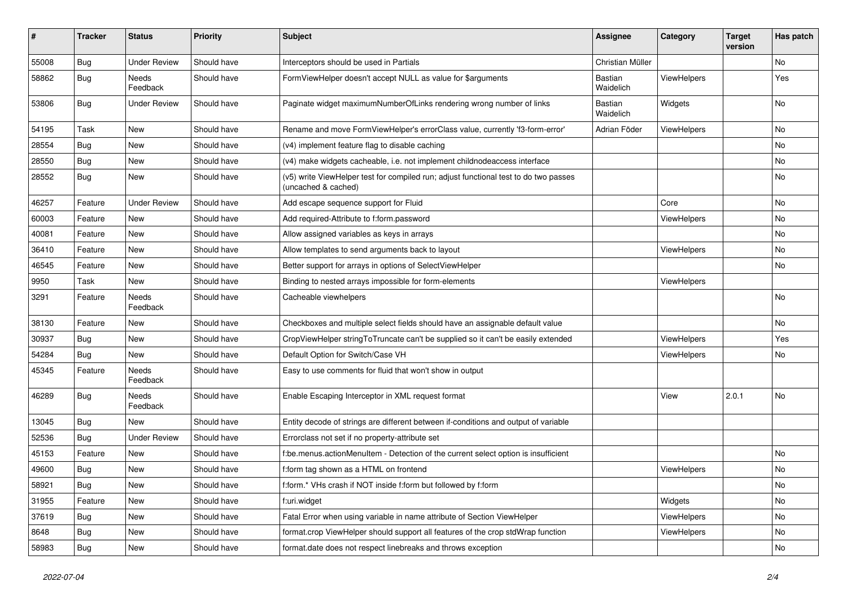| #     | <b>Tracker</b> | <b>Status</b>            | <b>Priority</b> | <b>Subject</b>                                                                                              | Assignee                    | Category    | <b>Target</b><br>version | Has patch |
|-------|----------------|--------------------------|-----------------|-------------------------------------------------------------------------------------------------------------|-----------------------------|-------------|--------------------------|-----------|
| 55008 | Bug            | <b>Under Review</b>      | Should have     | Interceptors should be used in Partials                                                                     | Christian Müller            |             |                          | <b>No</b> |
| 58862 | Bug            | <b>Needs</b><br>Feedback | Should have     | FormViewHelper doesn't accept NULL as value for \$arguments                                                 | <b>Bastian</b><br>Waidelich | ViewHelpers |                          | Yes       |
| 53806 | <b>Bug</b>     | <b>Under Review</b>      | Should have     | Paginate widget maximumNumberOfLinks rendering wrong number of links                                        | <b>Bastian</b><br>Waidelich | Widgets     |                          | <b>No</b> |
| 54195 | Task           | <b>New</b>               | Should have     | Rename and move FormViewHelper's errorClass value, currently 'f3-form-error'                                | Adrian Föder                | ViewHelpers |                          | No        |
| 28554 | Bug            | New                      | Should have     | (v4) implement feature flag to disable caching                                                              |                             |             |                          | No        |
| 28550 | Bug            | New                      | Should have     | (v4) make widgets cacheable, i.e. not implement childnodeaccess interface                                   |                             |             |                          | No        |
| 28552 | Bug            | New                      | Should have     | (v5) write ViewHelper test for compiled run; adjust functional test to do two passes<br>(uncached & cached) |                             |             |                          | No        |
| 46257 | Feature        | <b>Under Review</b>      | Should have     | Add escape sequence support for Fluid                                                                       |                             | Core        |                          | <b>No</b> |
| 60003 | Feature        | <b>New</b>               | Should have     | Add required-Attribute to f:form.password                                                                   |                             | ViewHelpers |                          | <b>No</b> |
| 40081 | Feature        | New                      | Should have     | Allow assigned variables as keys in arrays                                                                  |                             |             |                          | No        |
| 36410 | Feature        | New                      | Should have     | Allow templates to send arguments back to layout                                                            |                             | ViewHelpers |                          | No        |
| 46545 | Feature        | New                      | Should have     | Better support for arrays in options of SelectViewHelper                                                    |                             |             |                          | No        |
| 9950  | Task           | New                      | Should have     | Binding to nested arrays impossible for form-elements                                                       |                             | ViewHelpers |                          |           |
| 3291  | Feature        | Needs<br>Feedback        | Should have     | Cacheable viewhelpers                                                                                       |                             |             |                          | <b>No</b> |
| 38130 | Feature        | New                      | Should have     | Checkboxes and multiple select fields should have an assignable default value                               |                             |             |                          | No        |
| 30937 | Bug            | <b>New</b>               | Should have     | CropViewHelper stringToTruncate can't be supplied so it can't be easily extended                            |                             | ViewHelpers |                          | Yes       |
| 54284 | Bug            | <b>New</b>               | Should have     | Default Option for Switch/Case VH                                                                           |                             | ViewHelpers |                          | No        |
| 45345 | Feature        | <b>Needs</b><br>Feedback | Should have     | Easy to use comments for fluid that won't show in output                                                    |                             |             |                          |           |
| 46289 | Bug            | Needs<br>Feedback        | Should have     | Enable Escaping Interceptor in XML request format                                                           |                             | View        | 2.0.1                    | <b>No</b> |
| 13045 | Bug            | New                      | Should have     | Entity decode of strings are different between if-conditions and output of variable                         |                             |             |                          |           |
| 52536 | Bug            | <b>Under Review</b>      | Should have     | Errorclass not set if no property-attribute set                                                             |                             |             |                          |           |
| 45153 | Feature        | <b>New</b>               | Should have     | f:be.menus.actionMenuItem - Detection of the current select option is insufficient                          |                             |             |                          | <b>No</b> |
| 49600 | Bug            | New                      | Should have     | f:form tag shown as a HTML on frontend                                                                      |                             | ViewHelpers |                          | No        |
| 58921 | <b>Bug</b>     | New                      | Should have     | f:form.* VHs crash if NOT inside f:form but followed by f:form                                              |                             |             |                          | No        |
| 31955 | Feature        | New                      | Should have     | f:uri.widget                                                                                                |                             | Widgets     |                          | No        |
| 37619 | Bug            | New                      | Should have     | Fatal Error when using variable in name attribute of Section ViewHelper                                     |                             | ViewHelpers |                          | No        |
| 8648  | <b>Bug</b>     | New                      | Should have     | format.crop ViewHelper should support all features of the crop stdWrap function                             |                             | ViewHelpers |                          | No        |
| 58983 | <b>Bug</b>     | New                      | Should have     | format.date does not respect linebreaks and throws exception                                                |                             |             |                          | No        |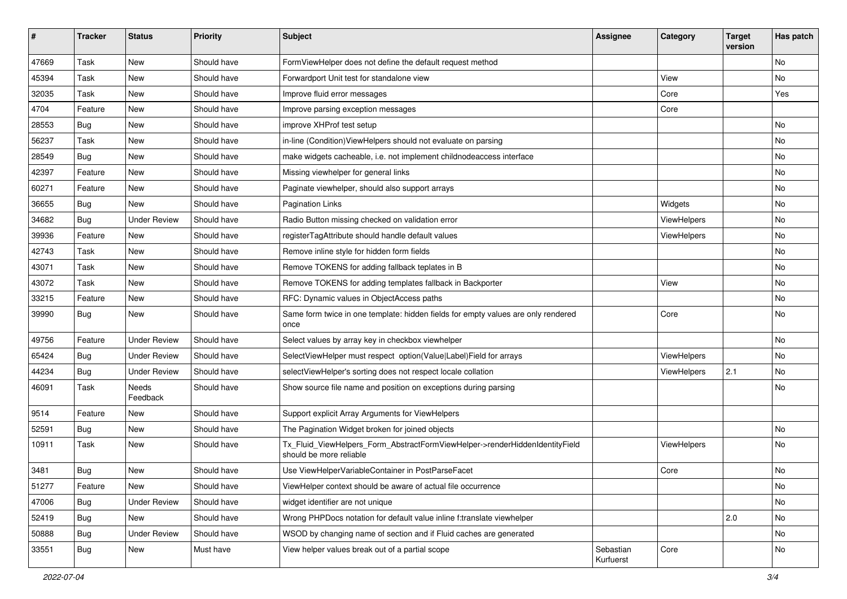| ∦     | <b>Tracker</b> | <b>Status</b>            | <b>Priority</b> | <b>Subject</b>                                                                                         | <b>Assignee</b>        | Category    | <b>Target</b><br>version | Has patch |
|-------|----------------|--------------------------|-----------------|--------------------------------------------------------------------------------------------------------|------------------------|-------------|--------------------------|-----------|
| 47669 | Task           | New                      | Should have     | FormViewHelper does not define the default request method                                              |                        |             |                          | No        |
| 45394 | Task           | New                      | Should have     | Forwardport Unit test for standalone view                                                              |                        | View        |                          | No        |
| 32035 | Task           | New                      | Should have     | Improve fluid error messages                                                                           |                        | Core        |                          | Yes       |
| 4704  | Feature        | New                      | Should have     | Improve parsing exception messages                                                                     |                        | Core        |                          |           |
| 28553 | Bug            | New                      | Should have     | improve XHProf test setup                                                                              |                        |             |                          | No        |
| 56237 | Task           | New                      | Should have     | in-line (Condition) ViewHelpers should not evaluate on parsing                                         |                        |             |                          | No        |
| 28549 | Bug            | New                      | Should have     | make widgets cacheable, i.e. not implement childnodeaccess interface                                   |                        |             |                          | No        |
| 42397 | Feature        | New                      | Should have     | Missing viewhelper for general links                                                                   |                        |             |                          | No        |
| 60271 | Feature        | New                      | Should have     | Paginate viewhelper, should also support arrays                                                        |                        |             |                          | No        |
| 36655 | Bug            | New                      | Should have     | <b>Pagination Links</b>                                                                                |                        | Widgets     |                          | No        |
| 34682 | Bug            | <b>Under Review</b>      | Should have     | Radio Button missing checked on validation error                                                       |                        | ViewHelpers |                          | No        |
| 39936 | Feature        | New                      | Should have     | registerTagAttribute should handle default values                                                      |                        | ViewHelpers |                          | No        |
| 42743 | Task           | New                      | Should have     | Remove inline style for hidden form fields                                                             |                        |             |                          | No        |
| 43071 | Task           | New                      | Should have     | Remove TOKENS for adding fallback teplates in B                                                        |                        |             |                          | No        |
| 43072 | Task           | New                      | Should have     | Remove TOKENS for adding templates fallback in Backporter                                              |                        | View        |                          | No        |
| 33215 | Feature        | New                      | Should have     | RFC: Dynamic values in ObjectAccess paths                                                              |                        |             |                          | No        |
| 39990 | Bug            | New                      | Should have     | Same form twice in one template: hidden fields for empty values are only rendered<br>once              |                        | Core        |                          | No        |
| 49756 | Feature        | <b>Under Review</b>      | Should have     | Select values by array key in checkbox viewhelper                                                      |                        |             |                          | No        |
| 65424 | Bug            | <b>Under Review</b>      | Should have     | SelectViewHelper must respect option(Value Label)Field for arrays                                      |                        | ViewHelpers |                          | No        |
| 44234 | Bug            | <b>Under Review</b>      | Should have     | selectViewHelper's sorting does not respect locale collation                                           |                        | ViewHelpers | 2.1                      | No        |
| 46091 | Task           | <b>Needs</b><br>Feedback | Should have     | Show source file name and position on exceptions during parsing                                        |                        |             |                          | No        |
| 9514  | Feature        | New                      | Should have     | Support explicit Array Arguments for ViewHelpers                                                       |                        |             |                          |           |
| 52591 | <b>Bug</b>     | New                      | Should have     | The Pagination Widget broken for joined objects                                                        |                        |             |                          | No        |
| 10911 | Task           | New                      | Should have     | Tx_Fluid_ViewHelpers_Form_AbstractFormViewHelper->renderHiddenIdentityField<br>should be more reliable |                        | ViewHelpers |                          | No        |
| 3481  | <b>Bug</b>     | New                      | Should have     | Use ViewHelperVariableContainer in PostParseFacet                                                      |                        | Core        |                          | No        |
| 51277 | Feature        | New                      | Should have     | ViewHelper context should be aware of actual file occurrence                                           |                        |             |                          | No        |
| 47006 | Bug            | <b>Under Review</b>      | Should have     | widget identifier are not unique                                                                       |                        |             |                          | No        |
| 52419 | <b>Bug</b>     | New                      | Should have     | Wrong PHPDocs notation for default value inline f:translate viewhelper                                 |                        |             | 2.0                      | No        |
| 50888 | Bug            | <b>Under Review</b>      | Should have     | WSOD by changing name of section and if Fluid caches are generated                                     |                        |             |                          | No        |
| 33551 | Bug            | New                      | Must have       | View helper values break out of a partial scope                                                        | Sebastian<br>Kurfuerst | Core        |                          | No        |